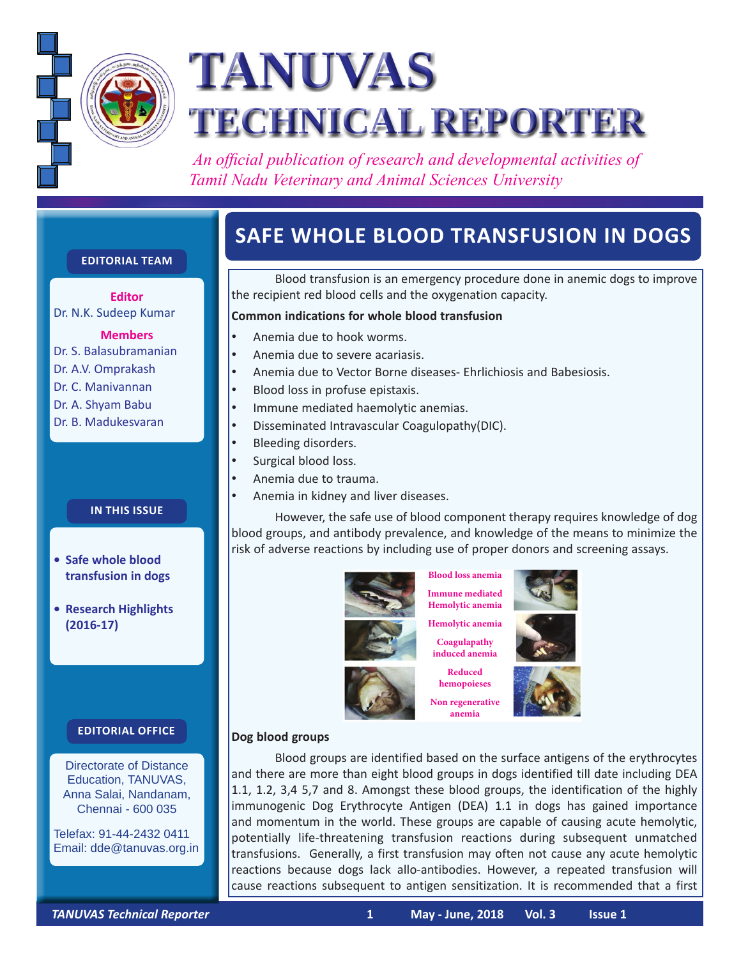

# **TANUVAS TECHNICAL REPORTER**

 *An official publication of research and developmental activities of Tamil Nadu Veterinary and Animal Sciences University*

# **Safe whole blood transfusion in dogs**

**Editorial Team**

**Editor** Dr. N.K. Sudeep Kumar

**Members**

Dr. S. Balasubramanian

- Dr. A.V. Omprakash
- Dr. C. Manivannan
- Dr. A. Shyam Babu
- Dr. B. Madukesvaran

**In this issue**

- **• Safe whole blood transfusion in dogs**
- **• Research Highlights (2016-17)**

#### **Editorial Office**

Directorate of Distance Education, TANUVAS, Anna Salai, Nandanam, Chennai - 600 035

Telefax: 91-44-2432 0411 Email: dde@tanuvas.org.in

Blood transfusion is an emergency procedure done in anemic dogs to improve the recipient red blood cells and the oxygenation capacity.

#### **Common indications for whole blood transfusion**

- Anemia due to hook worms.
- Anemia due to severe acariasis.
- Anemia due to Vector Borne diseases- Ehrlichiosis and Babesiosis.
- Blood loss in profuse epistaxis.
- Immune mediated haemolytic anemias.
- • Disseminated Intravascular Coagulopathy(DIC).
- Bleeding disorders.
- Surgical blood loss.
- • Anemia due to trauma.
- Anemia in kidney and liver diseases.

However, the safe use of blood component therapy requires knowledge of dog blood groups, and antibody prevalence, and knowledge of the means to minimize the risk of adverse reactions by including use of proper donors and screening assays.



**Blood loss anemia Immune mediated Hemolytic anemia Hemolytic anemia**

**Coagulapathy** 

**Reduced hemopoieses Non regenerative anemia**



**induced anemia**

#### **Dog blood groups**

Blood groups are identified based on the surface antigens of the erythrocytes and there are more than eight blood groups in dogs identified till date including DEA 1.1, 1.2, 3,4 5,7 and 8. Amongst these blood groups, the identification of the highly immunogenic Dog Erythrocyte Antigen (DEA) 1.1 in dogs has gained importance and momentum in the world. These groups are capable of causing acute hemolytic, potentially life-threatening transfusion reactions during subsequent unmatched transfusions. Generally, a first transfusion may often not cause any acute hemolytic reactions because dogs lack allo-antibodies. However, a repeated transfusion will cause reactions subsequent to antigen sensitization. It is recommended that a first

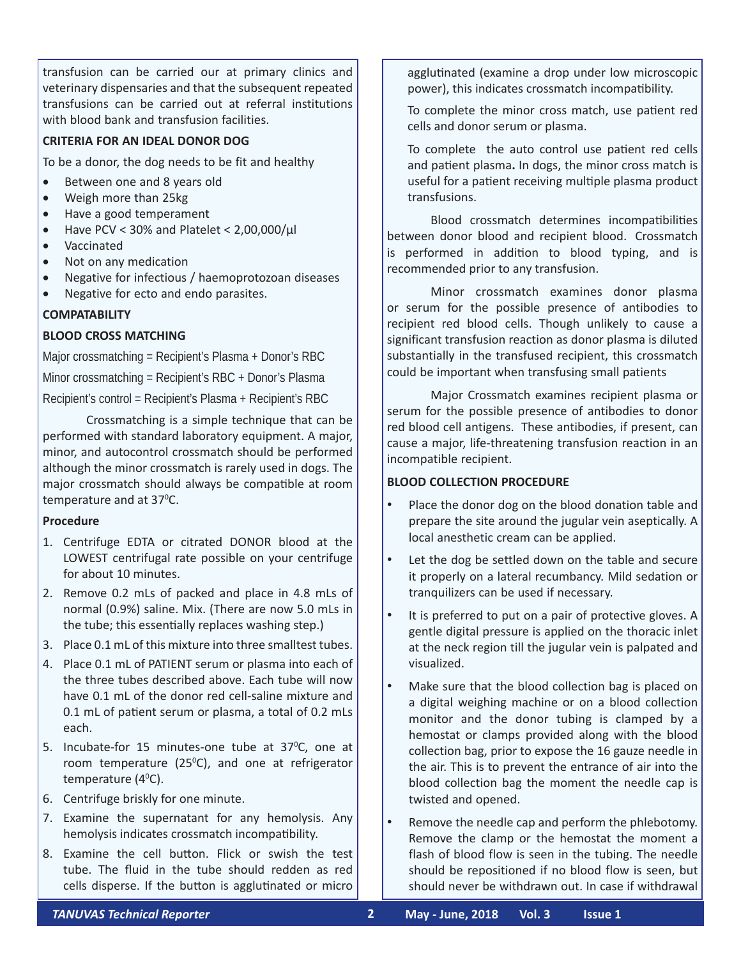transfusion can be carried our at primary clinics and veterinary dispensaries and that the subsequent repeated transfusions can be carried out at referral institutions with blood bank and transfusion facilities.

#### **CRITERIA FOR AN IDEAL DONOR DOG**

To be a donor, the dog needs to be fit and healthy

- Between one and 8 years old
- Weigh more than 25kg
- • Have a good temperament
- Have PCV < 30% and Platelet <  $2,00,000/\mu$ l
- • Vaccinated
- Not on any medication
- Negative for infectious / haemoprotozoan diseases
- Negative for ecto and endo parasites.

#### **COM PATABILIT Y**

#### **BLOOD CROSS MATCHING**

Major crossmatching = Recipient's Plasma + Donor's RBC Minor crossmatching = Recipient's RBC + Donor's Plasma Recipient's control = Recipient's Plasma + Recipient's RBC

Crossmatching is a simple technique that can be performed with standard laboratory equipment. A major, minor, and autocontrol crossmatch should be performed although the minor crossmatch is rarely used in dogs. The major crossmatch should always be compatible at room temperature and at 37°C.

#### **Procedure**

- 1. Centrifuge EDTA or citrated DONOR blood at the LOWEST centrifugal rate possible on your centrifuge for about 10 minutes.
- 2. Remove 0.2 mLs of packed and place in 4.8 mLs of normal (0.9%) saline. Mix. (There are now 5.0 mLs in the tube; this essentially replaces washing step.)
- 3. Place 0.1 mL of this mixture into three smalltest tubes.
- 4. Place 0.1 mL of PATIENT serum or plasma into each of the three tubes described above. Each tube will now have 0.1 mL of the donor red cell-saline mixture and 0.1 mL of patient serum or plasma, a total of 0.2 mLs each.
- 5. Incubate-for 15 minutes-one tube at  $37^{\circ}$ C, one at room temperature ( $25^{\circ}$ C), and one at refrigerator temperature (40 C).
- 6. Centrifuge briskly for one minute.
- 7. Examine the supernatant for any hemolysis. Any hemolysis indicates crossmatch incompatibility.
- 8. Examine the cell button. Flick or swish the test tube. The fluid in the tube should redden as red cells disperse. If the button is agglutinated or micro

agglutinated (examine a drop under low microscopic power), this indicates crossmatch incompatibility.

To complete the minor cross match, use patient red cells and donor serum or plasma.

To complete the auto control use patient red cells and patient plasma**.** In dogs, the minor cross match is useful for a patient receiving multiple plasma product transfusions.

Blood crossmatch determines incompatibilities between donor blood and recipient blood. Crossmatch is performed in addition to blood typing, and is recommended prior to any transfusion.

Minor crossmatch examines donor plasma or serum for the possible presence of antibodies to recipient red blood cells. Though unlikely to cause a significant transfusion reaction as donor plasma is diluted substantially in the transfused recipient, this crossmatch could be important when transfusing small patients

Major Crossmatch examines recipient plasma or serum for the possible presence of antibodies to donor red blood cell antigens. These antibodies, if present, can cause a major, life-threatening transfusion reaction in an incompatible recipient.

#### **BLOOD COLLECTION PROCEDURE**

- Place the donor dog on the blood donation table and prepare the site around the jugular vein aseptically. A local anesthetic cream can be applied.
- • Let the dog be settled down on the table and secure it properly on a lateral recumbancy. Mild sedation or tranquilizers can be used if necessary.
- It is preferred to put on a pair of protective gloves. A gentle digital pressure is applied on the thoracic inlet at the neck region till the jugular vein is palpated and visualized.
- Make sure that the blood collection bag is placed on a digital weighing machine or on a blood collection monitor and the donor tubing is clamped by a hemostat or clamps provided along with the blood collection bag, prior to expose the 16 gauze needle in the air. This is to prevent the entrance of air into the blood collection bag the moment the needle cap is twisted and opened.
- • Remove the needle cap and perform the phlebotomy. Remove the clamp or the hemostat the moment a flash of blood flow is seen in the tubing. The needle should be repositioned if no blood flow is seen, but should never be withdrawn out. In case if withdrawal

*TANUVAS Technical Reporter* **2 May - June, 2018 Vol. 3 Issue 1**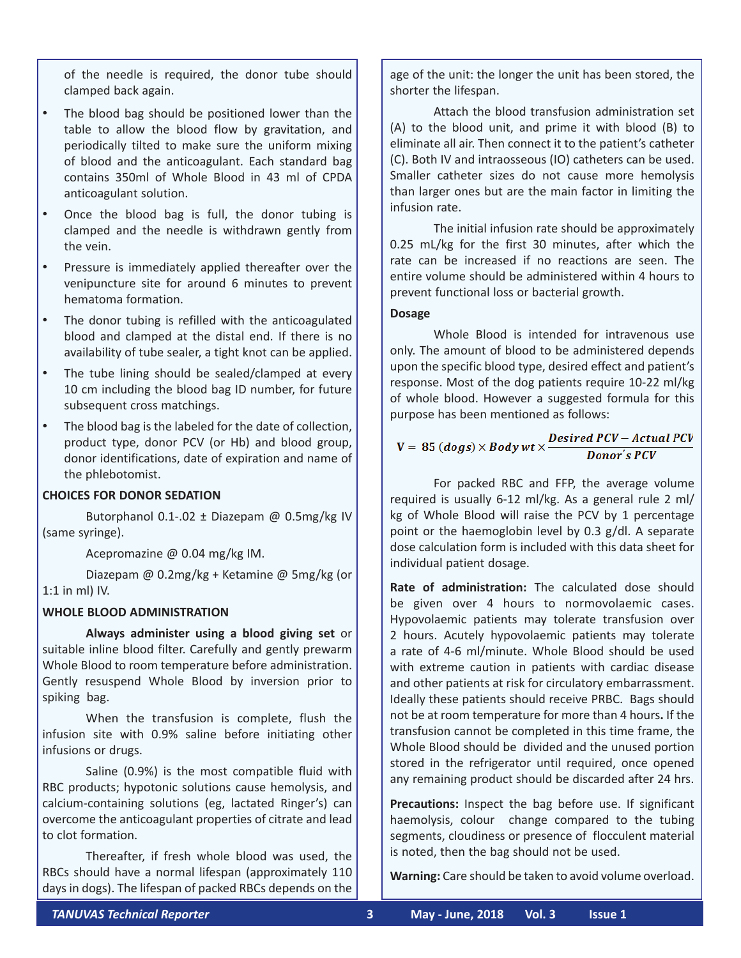of the needle is required, the donor tube should clamped back again.

- • The blood bag should be positioned lower than the table to allow the blood flow by gravitation, and periodically tilted to make sure the uniform mixing of blood and the anticoagulant. Each standard bag contains 350ml of Whole Blood in 43 ml of CPDA anticoagulant solution.
- Once the blood bag is full, the donor tubing is clamped and the needle is withdrawn gently from the vein.
- Pressure is immediately applied thereafter over the venipuncture site for around 6 minutes to prevent hematoma formation.
- The donor tubing is refilled with the anticoagulated blood and clamped at the distal end. If there is no availability of tube sealer, a tight knot can be applied.
- The tube lining should be sealed/clamped at every 10 cm including the blood bag ID number, for future subsequent cross matchings.
- • The blood bag is the labeled for the date of collection, product type, donor PCV (or Hb) and blood group, donor identifications, date of expiration and name of the phlebotomist.

#### **CHOICES FOR DONOR SEDATION**

Butorphanol 0.1-.02  $\pm$  Diazepam @ 0.5mg/kg IV (same syringe).

Acepromazine @ 0.04 mg/kg IM.

Diazepam @ 0.2mg/kg + Ketamine @ 5mg/kg (or 1:1 in ml) IV.

#### **WHOLE BLOOD ADMINISTRATION**

**Always administer using a blood giving set** or suitable inline blood filter. Carefully and gently prewarm Whole Blood to room temperature before administration. Gently resuspend Whole Blood by inversion prior to spiking bag.

When the transfusion is complete, flush the infusion site with 0.9% saline before initiating other infusions or drugs.

Saline (0.9%) is the most compatible fluid with RBC products; hypotonic solutions cause hemolysis, and calcium-containing solutions (eg, lactated Ringer's) can overcome the anticoagulant properties of citrate and lead to clot formation.

Thereafter, if fresh whole blood was used, the RBCs should have a normal lifespan (approximately 110 days in dogs). The lifespan of packed RBCs depends on the age of the unit: the longer the unit has been stored, the shorter the lifespan.

Attach the blood transfusion administration set (A) to the blood unit, and prime it with blood (B) to eliminate all air. Then connect it to the patient's catheter (C). Both IV and intraosseous (IO) catheters can be used. Smaller catheter sizes do not cause more hemolysis than larger ones but are the main factor in limiting the infusion rate.

The initial infusion rate should be approximately 0.25 mL/kg for the first 30 minutes, after which the rate can be increased if no reactions are seen. The entire volume should be administered within 4 hours to prevent functional loss or bacterial growth.

#### **Dosage**

Whole Blood is intended for intravenous use only. The amount of blood to be administered depends upon the specific blood type, desired effect and patient's response. Most of the dog patients require 10-22 ml/kg of whole blood. However a suggested formula for this purpose has been mentioned as follows:

### $V = 85 (dogs) \times Bodywt \times \frac{Desired PCV - Actual PCV}{Donor's PCV}$ **Donor's PCV**

For packed RBC and FFP, the average volume required is usually 6-12 ml/kg. As a general rule 2 ml/ kg of Whole Blood will raise the PCV by 1 percentage point or the haemoglobin level by 0.3 g/dl. A separate dose calculation form is included with this data sheet for individual patient dosage.

**Rate of administration:** The calculated dose should be given over 4 hours to normovolaemic cases. Hypovolaemic patients may tolerate transfusion over 2 hours. Acutely hypovolaemic patients may tolerate a rate of 4-6 ml/minute. Whole Blood should be used with extreme caution in patients with cardiac disease and other patients at risk for circulatory embarrassment. Ideally these patients should receive PRBC. Bags should not be at room temperature for more than 4 hours**.** If the transfusion cannot be completed in this time frame, the Whole Blood should be divided and the unused portion stored in the refrigerator until required, once opened any remaining product should be discarded after 24 hrs.

**Precautions:** Inspect the bag before use. If significant haemolysis, colour change compared to the tubing segments, cloudiness or presence of flocculent material is noted, then the bag should not be used.

**Warning:** Care should be taken to avoid volume overload.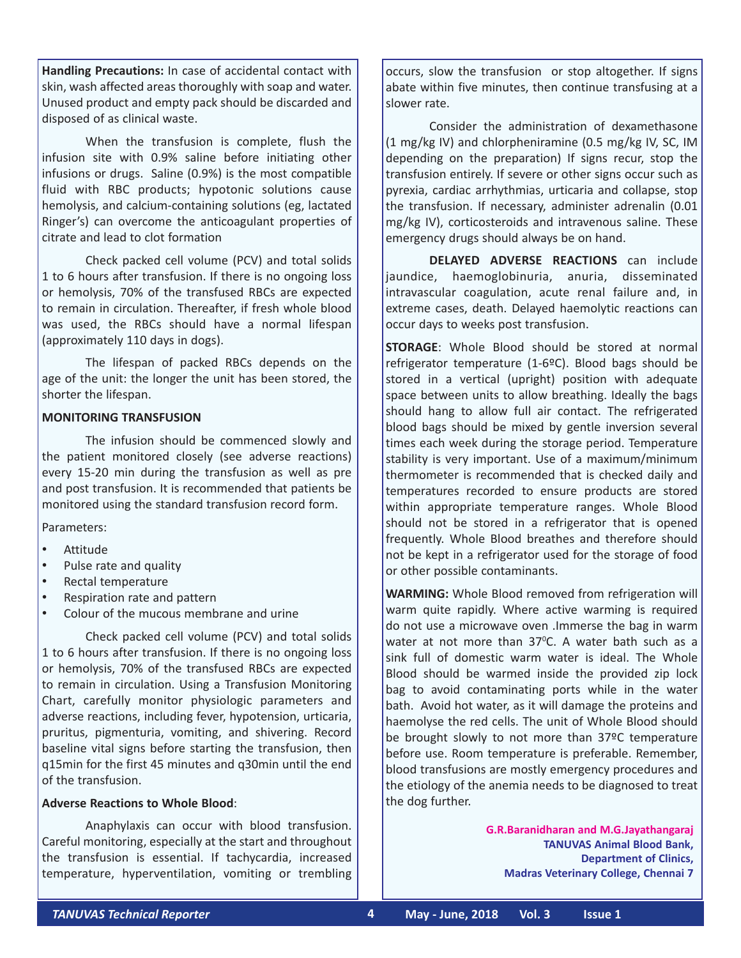**Handling Precautions:** In case of accidental contact with skin, wash affected areas thoroughly with soap and water. Unused product and empty pack should be discarded and disposed of as clinical waste.

When the transfusion is complete, flush the infusion site with 0.9% saline before initiating other infusions or drugs. Saline (0.9%) is the most compatible fluid with RBC products; hypotonic solutions cause hemolysis, and calcium-containing solutions (eg, lactated Ringer's) can overcome the anticoagulant properties of citrate and lead to clot formation

Check packed cell volume (PCV) and total solids 1 to 6 hours after transfusion. If there is no ongoing loss or hemolysis, 70% of the transfused RBCs are expected to remain in circulation. Thereafter, if fresh whole blood was used, the RBCs should have a normal lifespan (approximately 110 days in dogs).

The lifespan of packed RBCs depends on the age of the unit: the longer the unit has been stored, the shorter the lifespan.

#### **MONITORING TRANSFUSION**

The infusion should be commenced slowly and the patient monitored closely (see adverse reactions) every 15-20 min during the transfusion as well as pre and post transfusion. It is recommended that patients be monitored using the standard transfusion record form.

Parameters:

- **Attitude**
- Pulse rate and quality
- Rectal temperature
- Respiration rate and pattern
- Colour of the mucous membrane and urine

Check packed cell volume (PCV) and total solids 1 to 6 hours after transfusion. If there is no ongoing loss or hemolysis, 70% of the transfused RBCs are expected to remain in circulation. Using a Transfusion Monitoring Chart, carefully monitor physiologic parameters and adverse reactions, including fever, hypotension, urticaria, pruritus, pigmenturia, vomiting, and shivering. Record baseline vital signs before starting the transfusion, then q15min for the first 45 minutes and q30min until the end of the transfusion.

#### **Adverse Reactions to Whole Blood**:

Anaphylaxis can occur with blood transfusion. Careful monitoring, especially at the start and throughout the transfusion is essential. If tachycardia, increased temperature, hyperventilation, vomiting or trembling

occurs, slow the transfusion or stop altogether. If signs abate within five minutes, then continue transfusing at a slower rate.

Consider the administration of dexamethasone (1 mg/kg IV) and chlorpheniramine (0.5 mg/kg IV, SC, IM depending on the preparation) If signs recur, stop the transfusion entirely. If severe or other signs occur such as pyrexia, cardiac arrhythmias, urticaria and collapse, stop the transfusion. If necessary, administer adrenalin (0.01 mg/kg IV), corticosteroids and intravenous saline. These emergency drugs should always be on hand.

**DELAYED ADVERSE REACTIONS** can include jaundice, haemoglobinuria, anuria, disseminated intravascular coagulation, acute renal failure and, in extreme cases, death. Delayed haemolytic reactions can occur days to weeks post transfusion.

**STORAGE:** Whole Blood should be stored at normal refrigerator temperature (1-6ºC). Blood bags should be stored in a vertical (upright) position with adequate space between units to allow breathing. Ideally the bags should hang to allow full air contact. The refrigerated blood bags should be mixed by gentle inversion several times each week during the storage period. Temperature stability is very important. Use of a maximum/minimum thermometer is recommended that is checked daily and temperatures recorded to ensure products are stored within appropriate temperature ranges. Whole Blood should not be stored in a refrigerator that is opened frequently. Whole Blood breathes and therefore should not be kept in a refrigerator used for the storage of food or other possible contaminants.

**WARMING:** Whole Blood removed from refrigeration will warm quite rapidly. Where active warming is required do not use a microwave oven .Immerse the bag in warm water at not more than 37°C. A water bath such as a sink full of domestic warm water is ideal. The Whole Blood should be warmed inside the provided zip lock bag to avoid contaminating ports while in the water bath. Avoid hot water, as it will damage the proteins and haemolyse the red cells. The unit of Whole Blood should be brought slowly to not more than 37ºC temperature before use. Room temperature is preferable. Remember, blood transfusions are mostly emergency procedures and the etiology of the anemia needs to be diagnosed to treat the dog further.

> **G.R.Baranidharan and M.G.Jayathangaraj TANUVAS Animal Blood Bank, Department of Clinics, Madras Veterinary College, Chennai 7**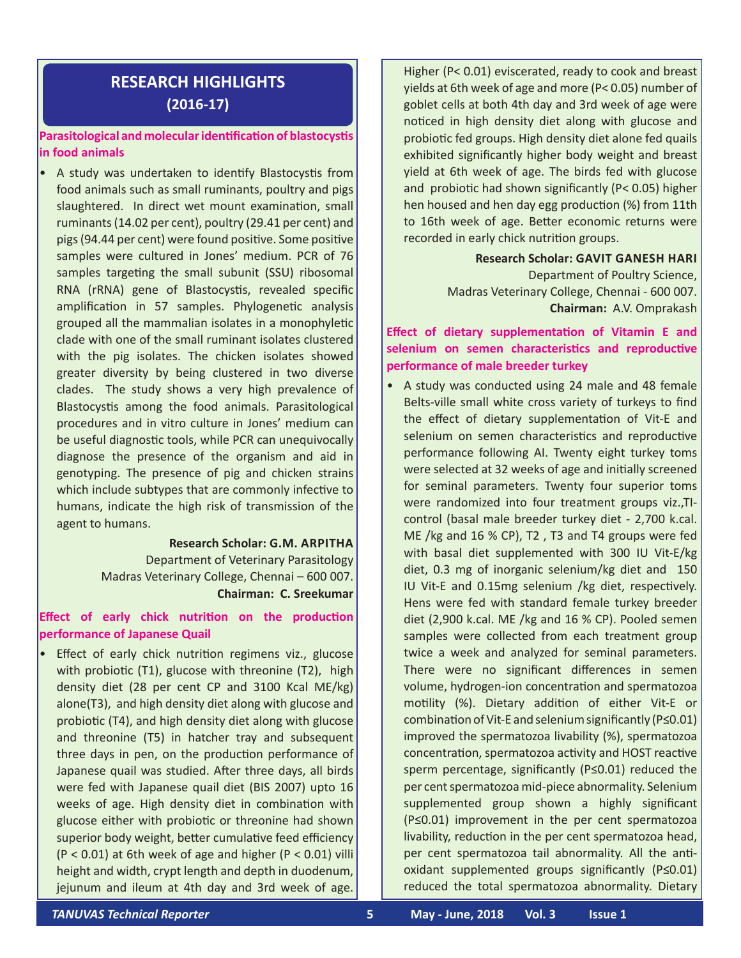## **RESEARCH HIGHLIGHTS (2016-17)**

#### **Parasitological and molecularidentification of blastocystis in food animals**

• A study was undertaken to identify Blastocystis from food animals such as small ruminants, poultry and pigs slaughtered. In direct wet mount examination, small ruminants (14.02 per cent), poultry (29.41 per cent) and pigs (94.44 per cent) were found positive. Some positive samples were cultured in Jones' medium. PCR of 76 samples targeting the small subunit (SSU) ribosomal RNA (rRNA) gene of Blastocystis, revealed specific amplification in 57 samples. Phylogenetic analysis grouped all the mammalian isolates in a monophyletic clade with one of the small ruminant isolates clustered with the pig isolates. The chicken isolates showed greater diversity by being clustered in two diverse clades. The study shows a very high prevalence of Blastocystis among the food animals. Parasitological procedures and in vitro culture in Jones' medium can be useful diagnostic tools, while PCR can unequivocally diagnose the presence of the organism and aid in genotyping. The presence of pig and chicken strains which include subtypes that are commonly infective to humans, indicate the high risk of transmission of the agent to humans.

> **Research Scholar: G.M. Arpitha** Department of Veterinary Parasitology Madras Veterinary College, Chennai – 600 007. **Chairman: C. Sreekumar**

#### **Effect of early chick nutrition on the production performance of Japanese Quail**

• Effect of early chick nutrition regimens viz., glucose with probiotic (T1), glucose with threonine (T2), high density diet (28 per cent CP and 3100 Kcal ME/kg) alone(T3), and high density diet along with glucose and probiotic (T4), and high density diet along with glucose and threonine (T5) in hatcher tray and subsequent three days in pen, on the production performance of Japanese quail was studied. After three days, all birds were fed with Japanese quail diet (BIS 2007) upto 16 weeks of age. High density diet in combination with glucose either with probiotic or threonine had shown superior body weight, better cumulative feed efficiency (P < 0.01) at 6th week of age and higher (P < 0.01) villi height and width, crypt length and depth in duodenum, jejunum and ileum at 4th day and 3rd week of age.

Higher (P< 0.01) eviscerated, ready to cook and breast yields at 6th week of age and more (P< 0.05) number of goblet cells at both 4th day and 3rd week of age were noticed in high density diet along with glucose and probiotic fed groups. High density diet alone fed quails exhibited significantly higher body weight and breast yield at 6th week of age. The birds fed with glucose and probiotic had shown significantly (P< 0.05) higher hen housed and hen day egg production (%) from 11th to 16th week of age. Better economic returns were recorded in early chick nutrition groups.

> **Research Scholar: Gavit Ganesh Hari** Department of Poultry Science, Madras Veterinary College, Chennai - 600 007. **Chairman:** A.V. Omprakash

#### **Effect of dietary supplementation of Vitamin E and selenium on semen characteristics and reproductive performance of male breeder turkey**

• A study was conducted using 24 male and 48 female Belts-ville small white cross variety of turkeys to find the effect of dietary supplementation of Vit-E and selenium on semen characteristics and reproductive performance following AI. Twenty eight turkey toms were selected at 32 weeks of age and initially screened for seminal parameters. Twenty four superior toms were randomized into four treatment groups viz.,TIcontrol (basal male breeder turkey diet - 2,700 k.cal. ME /kg and 16 % CP), T2 , T3 and T4 groups were fed with basal diet supplemented with 300 IU Vit-E/kg diet, 0.3 mg of inorganic selenium/kg diet and 150 IU Vit-E and 0.15mg selenium /kg diet, respectively. Hens were fed with standard female turkey breeder diet (2,900 k.cal. ME /kg and 16 % CP). Pooled semen samples were collected from each treatment group twice a week and analyzed for seminal parameters. There were no significant differences in semen volume, hydrogen-ion concentration and spermatozoa motility (%). Dietary addition of either Vit-E or combination of Vit-E and selenium significantly (P≤0.01) improved the spermatozoa livability (%), spermatozoa concentration, spermatozoa activity and HOST reactive sperm percentage, significantly (P≤0.01) reduced the per cent spermatozoa mid-piece abnormality. Selenium supplemented group shown a highly significant (P≤0.01) improvement in the per cent spermatozoa livability, reduction in the per cent spermatozoa head, per cent spermatozoa tail abnormality. All the antioxidant supplemented groups significantly (P≤0.01) reduced the total spermatozoa abnormality. Dietary